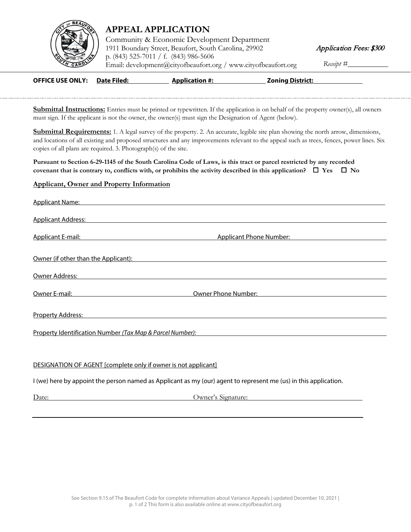

## **APPEAL APPLICATION**

Community & Economic Development Department 1911 Boundary Street, Beaufort, South Carolina, 29902 p. (843) 525-7011 / f. (843) 986-5606 [Email: development@cit](http://www.cityofbeaufort.org/)yofbeaufort.org / www.cityofbeaufort.org Receipt #\_

Application Fees: \$300

| <b>OFFICE USE ONLY:</b> | Date Filed: | <b>Application #:</b> | <b>Zoning District:</b> |
|-------------------------|-------------|-----------------------|-------------------------|

**Submittal Instructions:** Entries must be printed or typewritten. If the application is on behalf of the property owner(s), all owners must sign. If the applicant is not the owner, the owner(s) must sign the Designation of Agent (below).

**Submittal Requirements:** 1. A legal survey of the property. 2. An accurate, legible site plan showing the north arrow, dimensions, and locations of all existing and proposed structures and any improvements relevant to the appeal such as trees, fences, power lines. Six copies of all plans are required. 3. Photograph(s) of the site.

**Pursuant to Section 6-29-1145 of the South Carolina Code of Laws, is this tract or parcel restricted by any recorded covenant that is contrary to, conflicts with, or prohibits the activity described in this application?**  $\Box$  **Yes**  $\Box$  **No** 

## **Applicant, Owner and Property Information**

| Applicant Name: Name and Applicant Name and Applicant Name and Applicant Name and Applicant Name and Applicant                                                                                                                         |                                                                                                                  |  |
|----------------------------------------------------------------------------------------------------------------------------------------------------------------------------------------------------------------------------------------|------------------------------------------------------------------------------------------------------------------|--|
| Applicant Address: No. 2014 19:00 19:00 19:00 19:00 19:00 19:00 19:00 19:00 19:00 19:00 19:00 19:00 19:00 19:0                                                                                                                         |                                                                                                                  |  |
| <b>Applicant E-mail:</b>                                                                                                                                                                                                               | Applicant Phone Number:                                                                                          |  |
| Owner (if other than the Applicant): New York Contract the Applicant of the Applicant of the Applicant of the Applicant of the Applicant of the Applicant of the Applicant of the Applicant of the Applicant of the Applicant          |                                                                                                                  |  |
| Owner Address:                                                                                                                                                                                                                         |                                                                                                                  |  |
| Owner E-mail:                                                                                                                                                                                                                          | Owner Phone Number:                                                                                              |  |
| Property Address: No. 2014 19:30 19:30 19:30 19:30 19:30 19:30 19:30 19:30 19:30 19:30 19:30 19:30 19:30 19:30                                                                                                                         |                                                                                                                  |  |
| <u>Property Identification Number (Tax Map &amp; Parcel Number):</u> Name of the Control of the Control of the Control of the Control of the Control of the Control of the Control of the Control of the Control of the Control of the |                                                                                                                  |  |
|                                                                                                                                                                                                                                        |                                                                                                                  |  |
| DESIGNATION OF AGENT [complete only if owner is not applicant]                                                                                                                                                                         |                                                                                                                  |  |
|                                                                                                                                                                                                                                        | I (we) here by appoint the person named as Applicant as my (our) agent to represent me (us) in this application. |  |

Date: Owner's Signature: